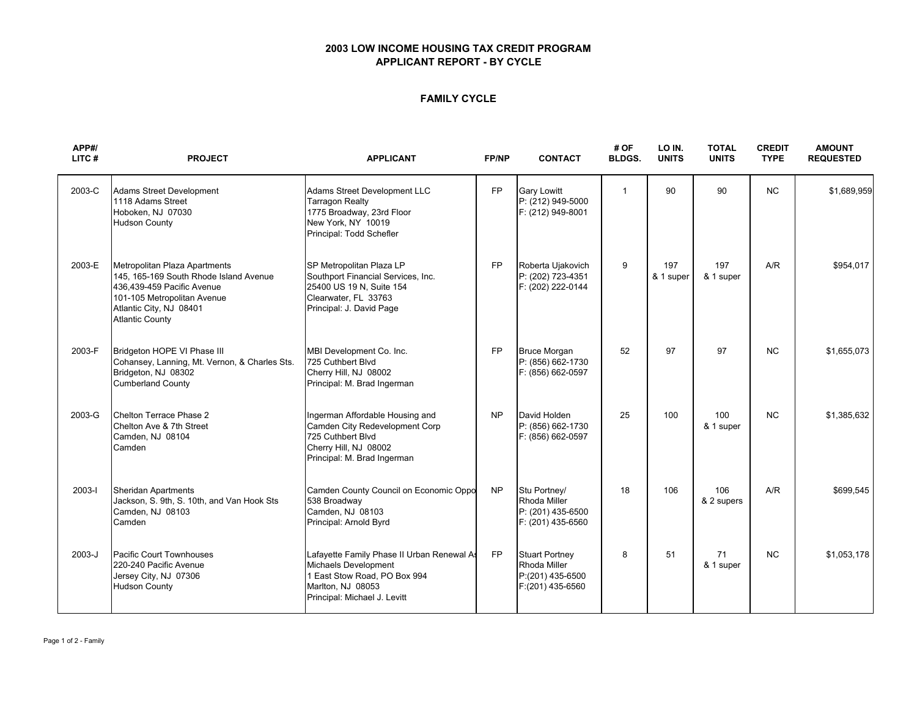### **2003 LOW INCOME HOUSING TAX CREDIT PROGRAM APPLICANT REPORT - BY CYCLE**

### **FAMILY CYCLE**

| APP#/<br>LITC# | <b>PROJECT</b>                                                                                                                                                                            | <b>APPLICANT</b>                                                                                                                                        | FP/NP     | <b>CONTACT</b>                                                                | # OF<br><b>BLDGS.</b> | LO IN.<br><b>UNITS</b> | <b>TOTAL</b><br><b>UNITS</b> | <b>CREDIT</b><br><b>TYPE</b> | <b>AMOUNT</b><br><b>REQUESTED</b> |
|----------------|-------------------------------------------------------------------------------------------------------------------------------------------------------------------------------------------|---------------------------------------------------------------------------------------------------------------------------------------------------------|-----------|-------------------------------------------------------------------------------|-----------------------|------------------------|------------------------------|------------------------------|-----------------------------------|
| 2003-C         | <b>Adams Street Development</b><br>1118 Adams Street<br>Hoboken, NJ 07030<br><b>Hudson County</b>                                                                                         | Adams Street Development LLC<br><b>Tarragon Realty</b><br>1775 Broadway, 23rd Floor<br>New York, NY 10019<br>Principal: Todd Schefler                   | <b>FP</b> | <b>Gary Lowitt</b><br>P: (212) 949-5000<br>F: (212) 949-8001                  | $\mathbf{1}$          | 90                     | 90                           | <b>NC</b>                    | \$1,689,959                       |
| 2003-E         | Metropolitan Plaza Apartments<br>145, 165-169 South Rhode Island Avenue<br>436,439-459 Pacific Avenue<br>101-105 Metropolitan Avenue<br>Atlantic City, NJ 08401<br><b>Atlantic County</b> | SP Metropolitan Plaza LP<br>Southport Financial Services, Inc.<br>25400 US 19 N, Suite 154<br>Clearwater, FL 33763<br>Principal: J. David Page          | <b>FP</b> | Roberta Ujakovich<br>P: (202) 723-4351<br>F: (202) 222-0144                   | 9                     | 197<br>& 1 super       | 197<br>& 1 super             | A/R                          | \$954,017                         |
| 2003-F         | Bridgeton HOPE VI Phase III<br>Cohansey, Lanning, Mt. Vernon, & Charles Sts.<br>Bridgeton, NJ 08302<br><b>Cumberland County</b>                                                           | MBI Development Co. Inc.<br>725 Cuthbert Blvd<br>Cherry Hill, NJ 08002<br>Principal: M. Brad Ingerman                                                   | <b>FP</b> | <b>Bruce Morgan</b><br>P: (856) 662-1730<br>F: (856) 662-0597                 | 52                    | 97                     | 97                           | <b>NC</b>                    | \$1,655,073                       |
| 2003-G         | Chelton Terrace Phase 2<br>Chelton Ave & 7th Street<br>Camden, NJ 08104<br>Camden                                                                                                         | Ingerman Affordable Housing and<br>Camden City Redevelopment Corp<br>725 Cuthbert Blvd<br>Cherry Hill, NJ 08002<br>Principal: M. Brad Ingerman          | <b>NP</b> | David Holden<br>P: (856) 662-1730<br>F: (856) 662-0597                        | 25                    | 100                    | 100<br>& 1 super             | <b>NC</b>                    | \$1,385,632                       |
| 2003-l         | <b>Sheridan Apartments</b><br>Jackson, S. 9th, S. 10th, and Van Hook Sts<br>Camden, NJ 08103<br>Camden                                                                                    | Camden County Council on Economic Oppo<br>538 Broadway<br>Camden, NJ 08103<br>Principal: Arnold Byrd                                                    | <b>NP</b> | Stu Portney/<br>Rhoda Miller<br>P: (201) 435-6500<br>F: (201) 435-6560        | 18                    | 106                    | 106<br>& 2 supers            | A/R                          | \$699,545                         |
| 2003-J         | Pacific Court Townhouses<br>220-240 Pacific Avenue<br>Jersey City, NJ 07306<br><b>Hudson County</b>                                                                                       | Lafayette Family Phase II Urban Renewal As<br>Michaels Development<br>1 East Stow Road, PO Box 994<br>Marlton, NJ 08053<br>Principal: Michael J. Levitt | <b>FP</b> | <b>Stuart Portney</b><br>Rhoda Miller<br>P:(201) 435-6500<br>F:(201) 435-6560 | 8                     | 51                     | 71<br>& 1 super              | <b>NC</b>                    | \$1.053.178                       |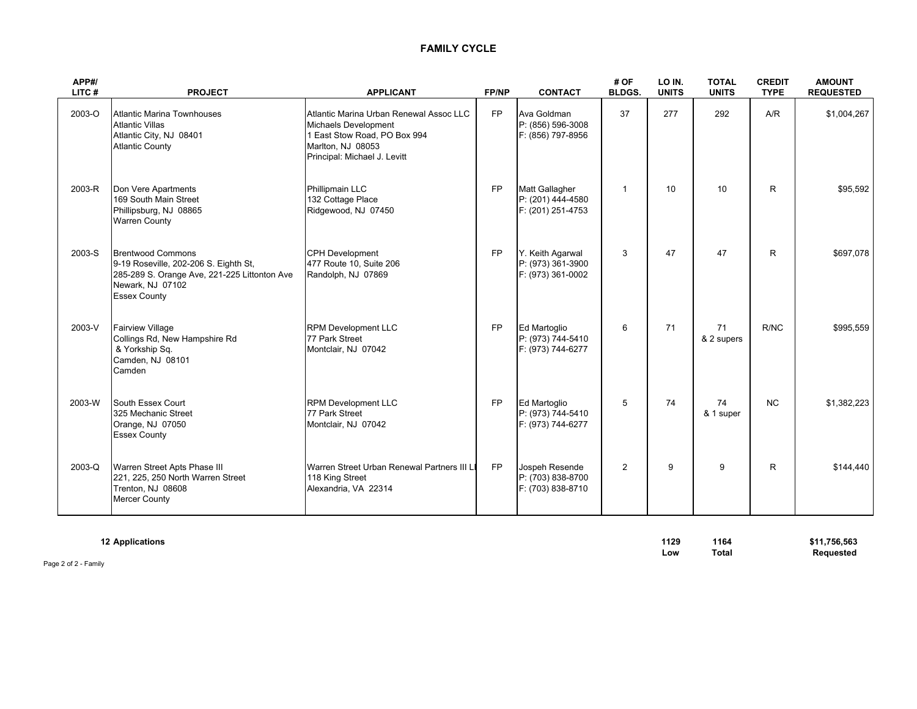# **FAMILY CYCLE**

| APP#/<br>LITC# | <b>PROJECT</b>                                                                                                                                               | <b>APPLICANT</b>                                                                                                                                     |           | <b>CONTACT</b>                                                | # OF<br><b>BLDGS.</b> | LO IN.<br><b>UNITS</b> | <b>TOTAL</b><br><b>UNITS</b> | <b>CREDIT</b><br><b>TYPE</b> | <b>AMOUNT</b><br><b>REQUESTED</b> |  |
|----------------|--------------------------------------------------------------------------------------------------------------------------------------------------------------|------------------------------------------------------------------------------------------------------------------------------------------------------|-----------|---------------------------------------------------------------|-----------------------|------------------------|------------------------------|------------------------------|-----------------------------------|--|
| 2003-O         | <b>Atlantic Marina Townhouses</b><br><b>Atlantic Villas</b><br>Atlantic City, NJ 08401<br><b>Atlantic County</b>                                             | Atlantic Marina Urban Renewal Assoc LLC<br>Michaels Development<br>1 East Stow Road, PO Box 994<br>Marlton, NJ 08053<br>Principal: Michael J. Levitt | <b>FP</b> | Ava Goldman<br>P: (856) 596-3008<br>F: (856) 797-8956         | 37                    | 277                    | 292                          | A/R                          | \$1,004,267                       |  |
| 2003-R         | Don Vere Apartments<br>169 South Main Street<br>Phillipsburg, NJ 08865<br><b>Warren County</b>                                                               | Phillipmain LLC<br>132 Cottage Place<br>Ridgewood, NJ 07450                                                                                          | <b>FP</b> | Matt Gallagher<br>P: (201) 444-4580<br>F: (201) 251-4753      | $\mathbf{1}$          | 10                     | 10 <sup>1</sup>              | R                            | \$95,592                          |  |
| 2003-S         | <b>Brentwood Commons</b><br>9-19 Roseville, 202-206 S. Eighth St,<br>285-289 S. Orange Ave, 221-225 Littonton Ave<br>Newark, NJ 07102<br><b>Essex County</b> | <b>CPH Development</b><br>477 Route 10, Suite 206<br>Randolph, NJ 07869                                                                              |           | Y. Keith Agarwal<br>P: (973) 361-3900<br>F: (973) 361-0002    | 3                     | 47                     | 47                           | R.                           | \$697,078                         |  |
| 2003-V         | <b>Fairview Village</b><br>Collings Rd, New Hampshire Rd<br>& Yorkship Sq.<br>Camden, NJ 08101<br>Camden                                                     | <b>RPM Development LLC</b><br>77 Park Street<br>Montclair, NJ 07042                                                                                  | <b>FP</b> | <b>Ed Martoglio</b><br>P: (973) 744-5410<br>F: (973) 744-6277 | 6                     | 71                     | 71<br>& 2 supers             | R/NC                         | \$995,559                         |  |
| 2003-W         | South Essex Court<br>325 Mechanic Street<br>Orange, NJ 07050<br><b>Essex County</b>                                                                          | <b>RPM Development LLC</b><br>77 Park Street<br>Montclair, NJ 07042                                                                                  | <b>FP</b> | Ed Martoglio<br>P: (973) 744-5410<br>F: (973) 744-6277        | 5                     | 74                     | 74<br>& 1 super              | NC                           | \$1,382,223                       |  |
| 2003-Q         | Warren Street Apts Phase III<br>221, 225, 250 North Warren Street<br>Trenton, NJ 08608<br>Mercer County                                                      | Warren Street Urban Renewal Partners III LI<br>118 King Street<br>Alexandria, VA 22314                                                               | <b>FP</b> | Jospeh Resende<br>P: (703) 838-8700<br>F: (703) 838-8710      | $\overline{2}$        | 9                      | 9                            | R.                           | \$144.440                         |  |

**Low Total Requested**

| <b>12 Applications</b> | 1129 | 1164  | \$11,756,563     |
|------------------------|------|-------|------------------|
|                        |      |       |                  |
|                        | Low  | Tota. | <b>Requested</b> |

Page 2 of 2 - Family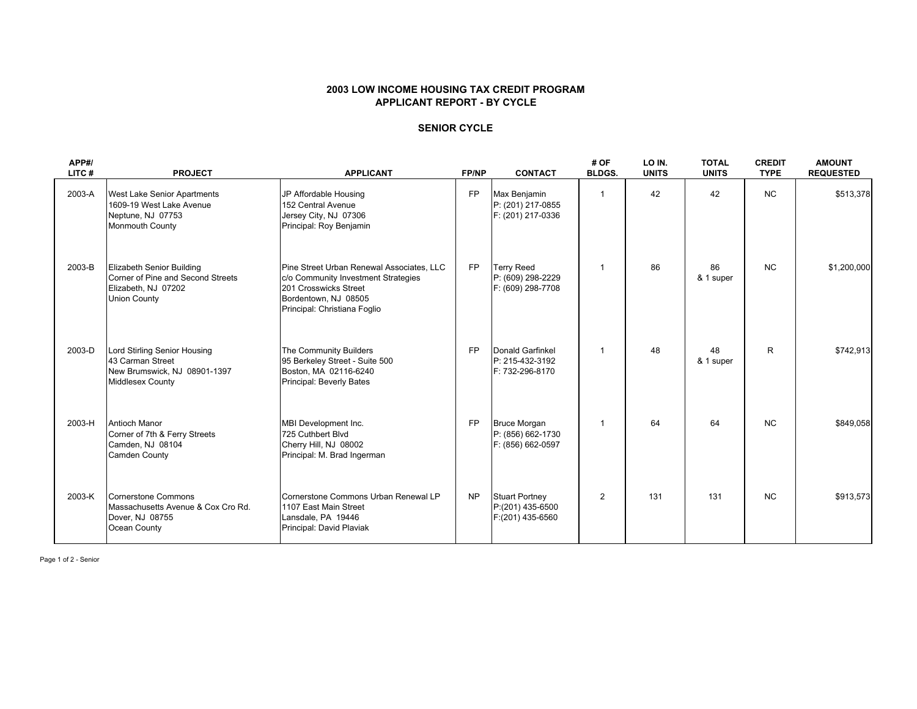#### **2003 LOW INCOME HOUSING TAX CREDIT PROGRAM APPLICANT REPORT - BY CYCLE**

### **SENIOR CYCLE**

| APP#/<br>LITC# | <b>PROJECT</b>                                                                                               | <b>APPLICANT</b>                                                                                                                                                  | <b>FP/NP</b> | <b>CONTACT</b>                                                | # OF<br><b>BLDGS.</b> | LO IN.<br><b>UNITS</b> | <b>TOTAL</b><br><b>UNITS</b> | <b>CREDIT</b><br><b>TYPE</b> | <b>AMOUNT</b><br><b>REQUESTED</b> |
|----------------|--------------------------------------------------------------------------------------------------------------|-------------------------------------------------------------------------------------------------------------------------------------------------------------------|--------------|---------------------------------------------------------------|-----------------------|------------------------|------------------------------|------------------------------|-----------------------------------|
| 2003-A         | West Lake Senior Apartments<br>1609-19 West Lake Avenue<br>Neptune, NJ 07753<br>Monmouth County              | JP Affordable Housing<br>152 Central Avenue<br>Jersey City, NJ 07306<br>Principal: Roy Benjamin                                                                   | <b>FP</b>    | Max Benjamin<br>P: (201) 217-0855<br>F: (201) 217-0336        | $\mathbf 1$           | 42                     | 42                           | <b>NC</b>                    | \$513,378                         |
| 2003-B         | Elizabeth Senior Building<br>Corner of Pine and Second Streets<br>Elizabeth, NJ 07202<br><b>Union County</b> | Pine Street Urban Renewal Associates, LLC<br>c/o Community Investment Strategies<br>201 Crosswicks Street<br>Bordentown, NJ 08505<br>Principal: Christiana Foglio | <b>FP</b>    | <b>Terry Reed</b><br>P: (609) 298-2229<br>F: (609) 298-7708   | $\mathbf{1}$          | 86                     | 86<br>& 1 super              | <b>NC</b>                    | \$1,200,000                       |
| 2003-D         | Lord Stirling Senior Housing<br>43 Carman Street<br>New Brumswick, NJ 08901-1397<br><b>Middlesex County</b>  | The Community Builders<br>95 Berkeley Street - Suite 500<br>Boston, MA 02116-6240<br>Principal: Beverly Bates                                                     | <b>FP</b>    | Donald Garfinkel<br>P: 215-432-3192<br>F: 732-296-8170        | $\mathbf{1}$          | 48                     | 48<br>& 1 super              | R                            | \$742,913                         |
| 2003-H         | <b>Antioch Manor</b><br>Corner of 7th & Ferry Streets<br>Camden, NJ 08104<br>Camden County                   | MBI Development Inc.<br>725 Cuthbert Blvd<br>Cherry Hill, NJ 08002<br>Principal: M. Brad Ingerman                                                                 | <b>FP</b>    | <b>Bruce Morgan</b><br>P: (856) 662-1730<br>F: (856) 662-0597 | $\mathbf 1$           | 64                     | 64                           | <b>NC</b>                    | \$849,058                         |
| 2003-K         | Cornerstone Commons<br>Massachusetts Avenue & Cox Cro Rd.<br>Dover, NJ 08755<br>Ocean County                 | Cornerstone Commons Urban Renewal LP<br>1107 East Main Street<br>Lansdale, PA 19446<br>Principal: David Plaviak                                                   | <b>NP</b>    | <b>Stuart Portney</b><br>P:(201) 435-6500<br>F:(201) 435-6560 | $\overline{2}$        | 131                    | 131                          | <b>NC</b>                    | \$913,573                         |

Page 1 of 2 - Senior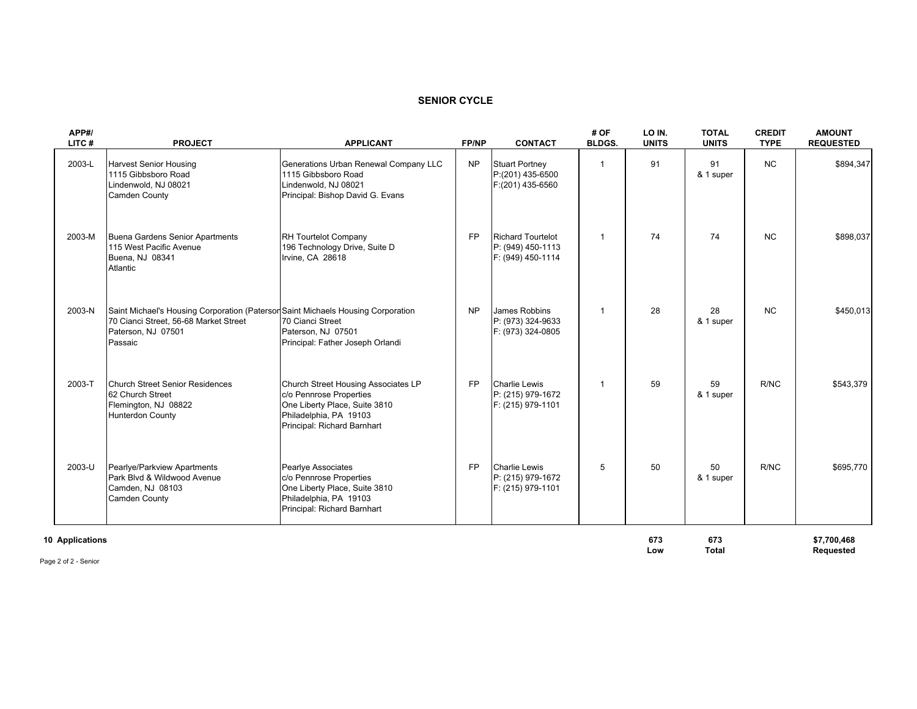# **SENIOR CYCLE**

| APP#/<br>LITC#         | <b>PROJECT</b>                                                                                                                                             | <b>APPLICANT</b>                                                                                                                                         | FP/NP     | <b>CONTACT</b>                                                     | # OF<br><b>BLDGS.</b> | LO IN.<br><b>UNITS</b> | <b>TOTAL</b><br><b>UNITS</b> | <b>CREDIT</b><br><b>TYPE</b> | <b>AMOUNT</b><br><b>REQUESTED</b> |
|------------------------|------------------------------------------------------------------------------------------------------------------------------------------------------------|----------------------------------------------------------------------------------------------------------------------------------------------------------|-----------|--------------------------------------------------------------------|-----------------------|------------------------|------------------------------|------------------------------|-----------------------------------|
| 2003-L                 | <b>Harvest Senior Housing</b><br>1115 Gibbsboro Road<br>Lindenwold, NJ 08021<br>Camden County                                                              | Generations Urban Renewal Company LLC<br>1115 Gibbsboro Road<br>Lindenwold, NJ 08021<br>Principal: Bishop David G. Evans                                 | <b>NP</b> | <b>Stuart Portney</b><br>P:(201) 435-6500<br>F:(201) 435-6560      | -1                    | 91                     | 91<br>& 1 super              | <b>NC</b>                    | \$894,347                         |
| 2003-M                 | Buena Gardens Senior Apartments<br>115 West Pacific Avenue<br>Buena, NJ 08341<br>Atlantic                                                                  | <b>RH Tourtelot Company</b><br>196 Technology Drive, Suite D<br>Irvine, CA 28618                                                                         | <b>FP</b> | <b>Richard Tourtelot</b><br>P: (949) 450-1113<br>F: (949) 450-1114 | $\mathbf{1}$          | 74                     | 74                           | <b>NC</b>                    | \$898,037                         |
| 2003-N                 | Saint Michael's Housing Corporation (Paterson Saint Michaels Housing Corporation<br>70 Cianci Street, 56-68 Market Street<br>Paterson, NJ 07501<br>Passaic | 70 Cianci Street<br>Paterson, NJ 07501<br>Principal: Father Joseph Orlandi                                                                               | <b>NP</b> | James Robbins<br>P: (973) 324-9633<br>F: (973) 324-0805            | $\mathbf{1}$          | 28                     | 28<br>& 1 super              | <b>NC</b>                    | \$450,013                         |
| 2003-T                 | Church Street Senior Residences<br>62 Church Street<br>Flemington, NJ 08822<br><b>Hunterdon County</b>                                                     | Church Street Housing Associates LP<br>c/o Pennrose Properties<br>One Liberty Place, Suite 3810<br>Philadelphia, PA 19103<br>Principal: Richard Barnhart | <b>FP</b> | <b>Charlie Lewis</b><br>P: (215) 979-1672<br>F: (215) 979-1101     | $\mathbf{1}$          | 59                     | 59<br>& 1 super              | R/NC                         | \$543,379                         |
| 2003-U                 | Pearlye/Parkview Apartments<br>Park Blvd & Wildwood Avenue<br>Camden, NJ 08103<br><b>Camden County</b>                                                     | Pearlye Associates<br>c/o Pennrose Properties<br>One Liberty Place, Suite 3810<br>Philadelphia, PA 19103<br>Principal: Richard Barnhart                  | <b>FP</b> | <b>Charlie Lewis</b><br>P: (215) 979-1672<br>F: (215) 979-1101     | 5                     | 50                     | 50<br>& 1 super              | R/NC                         | \$695,770                         |
| <b>10 Applications</b> |                                                                                                                                                            |                                                                                                                                                          |           |                                                                    |                       | 673                    | 673                          |                              | \$7,700,468                       |

Low Total **Requested** 

Page 2 of 2 - Senior